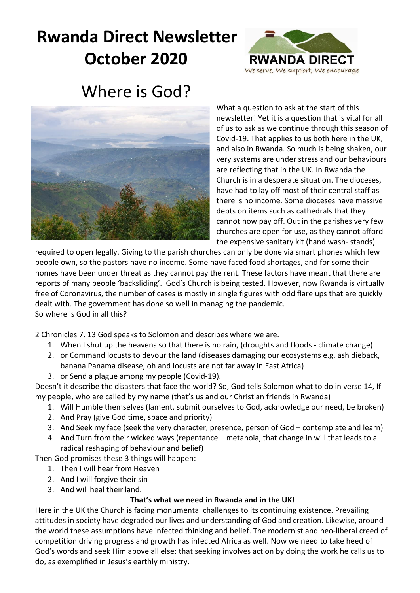# **Rwanda Direct Newsletter October 2020**



## Where is God?



What a question to ask at the start of this newsletter! Yet it is a question that is vital for all of us to ask as we continue through this season of Covid-19. That applies to us both here in the UK, and also in Rwanda. So much is being shaken, our very systems are under stress and our behaviours are reflecting that in the UK. In Rwanda the Church is in a desperate situation. The dioceses, have had to lay off most of their central staff as there is no income. Some dioceses have massive debts on items such as cathedrals that they cannot now pay off. Out in the parishes very few churches are open for use, as they cannot afford the expensive sanitary kit (hand wash- stands)

required to open legally. Giving to the parish churches can only be done via smart phones which few people own, so the pastors have no income. Some have faced food shortages, and for some their homes have been under threat as they cannot pay the rent. These factors have meant that there are reports of many people 'backsliding'. God's Church is being tested. However, now Rwanda is virtually free of Coronavirus, the number of cases is mostly in single figures with odd flare ups that are quickly dealt with. The government has done so well in managing the pandemic. So where is God in all this?

2 Chronicles 7. 13 God speaks to Solomon and describes where we are.

- 1. When I shut up the heavens so that there is no rain, (droughts and floods climate change)
- 2. or Command locusts to devour the land (diseases damaging our ecosystems e.g. ash dieback, banana Panama disease, oh and locusts are not far away in East Africa)
- 3. or Send a plague among my people (Covid-19).

Doesn't it describe the disasters that face the world? So, God tells Solomon what to do in verse 14, If my people, who are called by my name (that's us and our Christian friends in Rwanda)

- 1. Will Humble themselves (lament, submit ourselves to God, acknowledge our need, be broken)
- 2. And Pray (give God time, space and priority)
- 3. And Seek my face (seek the very character, presence, person of God contemplate and learn)
- 4. And Turn from their wicked ways (repentance metanoia, that change in will that leads to a radical reshaping of behaviour and belief)

Then God promises these 3 things will happen:

- 1. Then I will hear from Heaven
- 2. And I will forgive their sin
- 3. And will heal their land.

#### **That's what we need in Rwanda and in the UK!**

Here in the UK the Church is facing monumental challenges to its continuing existence. Prevailing attitudes in society have degraded our lives and understanding of God and creation. Likewise, around the world these assumptions have infected thinking and belief. The modernist and neo-liberal creed of competition driving progress and growth has infected Africa as well. Now we need to take heed of God's words and seek Him above all else: that seeking involves action by doing the work he calls us to do, as exemplified in Jesus's earthly ministry.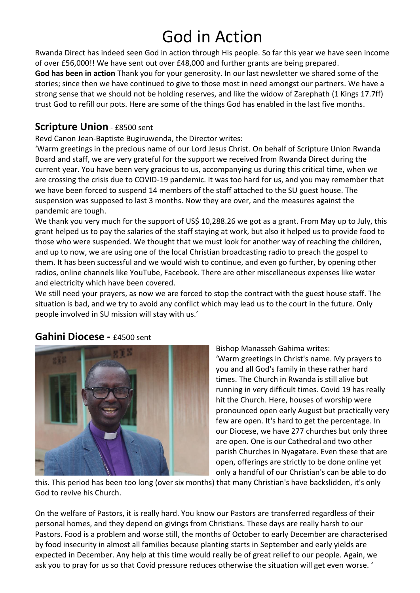# God in Action

Rwanda Direct has indeed seen God in action through His people. So far this year we have seen income of over £56,000!! We have sent out over £48,000 and further grants are being prepared.

**God has been in action** Thank you for your generosity. In our last newsletter we shared some of the stories; since then we have continued to give to those most in need amongst our partners. We have a strong sense that we should not be holding reserves, and like the widow of Zarephath (1 Kings 17.7ff) trust God to refill our pots. Here are some of the things God has enabled in the last five months.

#### **Scripture Union** - £8500 sent

Revd Canon Jean-Baptiste Bugiruwenda, the Director writes:

'Warm greetings in the precious name of our Lord Jesus Christ. On behalf of Scripture Union Rwanda Board and staff, we are very grateful for the support we received from Rwanda Direct during the current year. You have been very gracious to us, accompanying us during this critical time, when we are crossing the crisis due to COVID-19 pandemic. It was too hard for us, and you may remember that we have been forced to suspend 14 members of the staff attached to the SU guest house. The suspension was supposed to last 3 months. Now they are over, and the measures against the pandemic are tough.

We thank you very much for the support of US\$ 10,288.26 we got as a grant. From May up to July, this grant helped us to pay the salaries of the staff staying at work, but also it helped us to provide food to those who were suspended. We thought that we must look for another way of reaching the children, and up to now, we are using one of the local Christian broadcasting radio to preach the gospel to them. It has been successful and we would wish to continue, and even go further, by opening other radios, online channels like YouTube, Facebook. There are other miscellaneous expenses like water and electricity which have been covered.

We still need your prayers, as now we are forced to stop the contract with the guest house staff. The situation is bad, and we try to avoid any conflict which may lead us to the court in the future. Only people involved in SU mission will stay with us.'

#### **Gahini Diocese -** £4500 sent



Bishop Manasseh Gahima writes:

'Warm greetings in Christ's name. My prayers to you and all God's family in these rather hard times. The Church in Rwanda is still alive but running in very difficult times. Covid 19 has really hit the Church. Here, houses of worship were pronounced open early August but practically very few are open. It's hard to get the percentage. In our Diocese, we have 277 churches but only three are open. One is our Cathedral and two other parish Churches in Nyagatare. Even these that are open, offerings are strictly to be done online yet only a handful of our Christian's can be able to do

this. This period has been too long (over six months) that many Christian's have backslidden, it's only God to revive his Church.

On the welfare of Pastors, it is really hard. You know our Pastors are transferred regardless of their personal homes, and they depend on givings from Christians. These days are really harsh to our Pastors. Food is a problem and worse still, the months of October to early December are characterised by food insecurity in almost all families because planting starts in September and early yields are expected in December. Any help at this time would really be of great relief to our people. Again, we ask you to pray for us so that Covid pressure reduces otherwise the situation will get even worse. '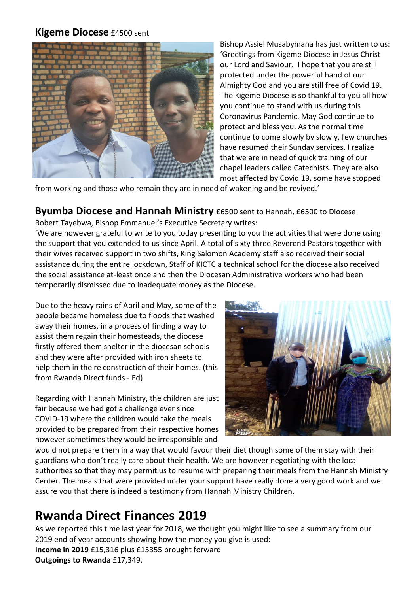#### **Kigeme Diocese** £4500 sent



Bishop Assiel Musabymana has just written to us: 'Greetings from Kigeme Diocese in Jesus Christ our Lord and Saviour. I hope that you are still protected under the powerful hand of our Almighty God and you are still free of Covid 19. The Kigeme Diocese is so thankful to you all how you continue to stand with us during this Coronavirus Pandemic. May God continue to protect and bless you. As the normal time continue to come slowly by slowly, few churches have resumed their Sunday services. I realize that we are in need of quick training of our chapel leaders called Catechists. They are also most affected by Covid 19, some have stopped

from working and those who remain they are in need of wakening and be revived.'

### **Byumba Diocese and Hannah Ministry** £6500 sent to Hannah, £6500 to Diocese

Robert Tayebwa, Bishop Emmanuel's Executive Secretary writes:

'We are however grateful to write to you today presenting to you the activities that were done using the support that you extended to us since April. A total of sixty three Reverend Pastors together with their wives received support in two shifts, King Salomon Academy staff also received their social assistance during the entire lockdown, Staff of KICTC a technical school for the diocese also received the social assistance at-least once and then the Diocesan Administrative workers who had been temporarily dismissed due to inadequate money as the Diocese.

Due to the heavy rains of April and May, some of the people became homeless due to floods that washed away their homes, in a process of finding a way to assist them regain their homesteads, the diocese firstly offered them shelter in the diocesan schools and they were after provided with iron sheets to help them in the re construction of their homes. (this from Rwanda Direct funds - Ed)

Regarding with Hannah Ministry, the children are just fair because we had got a challenge ever since COVID-19 where the children would take the meals provided to be prepared from their respective homes however sometimes they would be irresponsible and



would not prepare them in a way that would favour their diet though some of them stay with their guardians who don't really care about their health. We are however negotiating with the local authorities so that they may permit us to resume with preparing their meals from the Hannah Ministry Center. The meals that were provided under your support have really done a very good work and we assure you that there is indeed a testimony from Hannah Ministry Children.

## **Rwanda Direct Finances 2019**

As we reported this time last year for 2018, we thought you might like to see a summary from our 2019 end of year accounts showing how the money you give is used: **Income in 2019** £15,316 plus £15355 brought forward **Outgoings to Rwanda** £17,349.